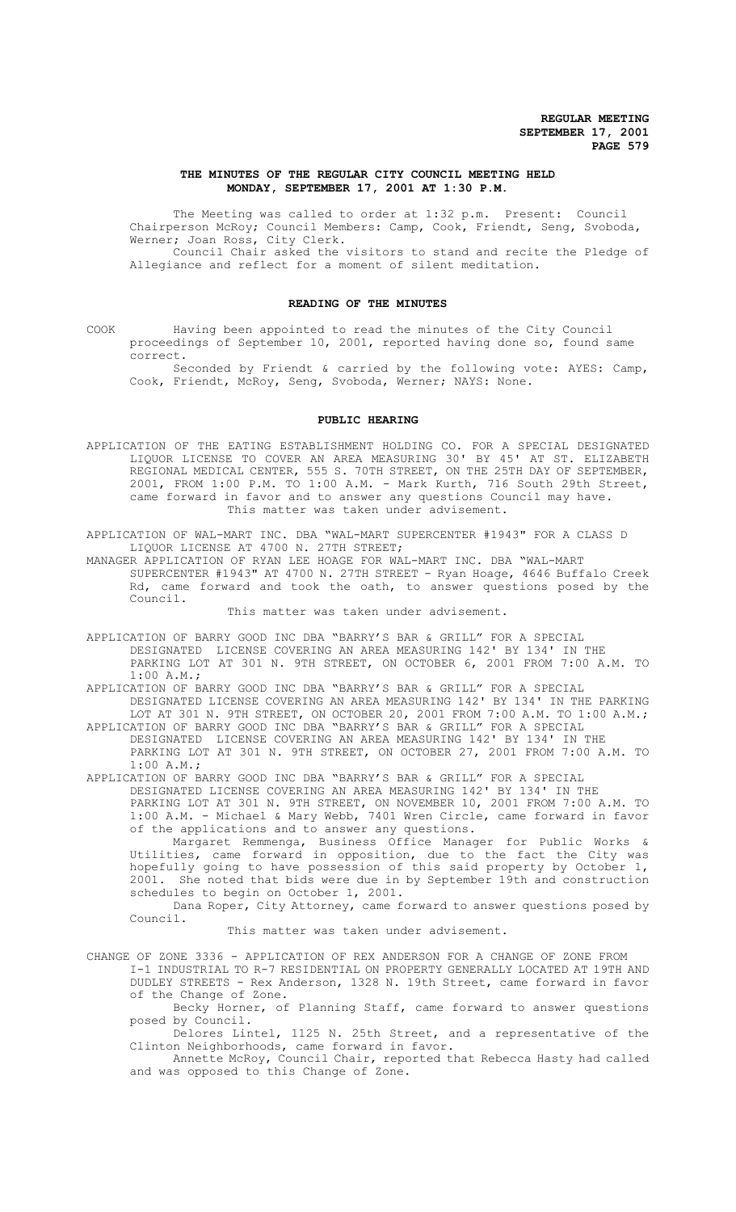# **THE MINUTES OF THE REGULAR CITY COUNCIL MEETING HELD MONDAY, SEPTEMBER 17, 2001 AT 1:30 P.M.**

The Meeting was called to order at 1:32 p.m. Present: Council Chairperson McRoy; Council Members: Camp, Cook, Friendt, Seng, Svoboda, Werner; Joan Ross, City Clerk.

Council Chair asked the visitors to stand and recite the Pledge of Allegiance and reflect for a moment of silent meditation.

# **READING OF THE MINUTES**

COOK Having been appointed to read the minutes of the City Council proceedings of September 10, 2001, reported having done so, found same correct.

Seconded by Friendt & carried by the following vote: AYES: Camp, Cook, Friendt, McRoy, Seng, Svoboda, Werner; NAYS: None.

#### **PUBLIC HEARING**

APPLICATION OF THE EATING ESTABLISHMENT HOLDING CO. FOR A SPECIAL DESIGNATED LIQUOR LICENSE TO COVER AN AREA MEASURING 30' BY 45' AT ST. ELIZABETH REGIONAL MEDICAL CENTER, 555 S. 70TH STREET, ON THE 25TH DAY OF SEPTEMBER, 2001, FROM 1:00 P.M. TO 1:00 A.M. - Mark Kurth, 716 South 29th Street, came forward in favor and to answer any questions Council may have. This matter was taken under advisement.

APPLICATION OF WAL-MART INC. DBA "WAL-MART SUPERCENTER #1943" FOR A CLASS D LIQUOR LICENSE AT 4700 N. 27TH STREET;

MANAGER APPLICATION OF RYAN LEE HOAGE FOR WAL-MART INC. DBA "WAL-MART SUPERCENTER #1943" AT 4700 N. 27TH STREET - Ryan Hoage, 4646 Buffalo Creek Rd, came forward and took the oath, to answer questions posed by the Council.

This matter was taken under advisement.

APPLICATION OF BARRY GOOD INC DBA "BARRY'S BAR & GRILL" FOR A SPECIAL

DESIGNATED LICENSE COVERING AN AREA MEASURING 142' BY 134' IN THE

PARKING LOT AT 301 N. 9TH STREET, ON OCTOBER 6, 2001 FROM 7:00 A.M. TO 1:00 A.M.;

APPLICATION OF BARRY GOOD INC DBA "BARRY'S BAR & GRILL" FOR A SPECIAL DESIGNATED LICENSE COVERING AN AREA MEASURING 142' BY 134' IN THE PARKING

LOT AT 301 N. 9TH STREET, ON OCTOBER 20, 2001 FROM 7:00 A.M. TO 1:00 A.M.; APPLICATION OF BARRY GOOD INC DBA "BARRY'S BAR & GRILL" FOR A SPECIAL DESIGNATED LICENSE COVERING AN AREA MEASURING 142' BY 134' IN THE PARKING LOT AT 301 N. 9TH STREET, ON OCTOBER 27, 2001 FROM 7:00 A.M. TO 1:00 A.M.;

APPLICATION OF BARRY GOOD INC DBA "BARRY'S BAR & GRILL" FOR A SPECIAL DESIGNATED LICENSE COVERING AN AREA MEASURING 142' BY 134' IN THE PARKING LOT AT 301 N. 9TH STREET, ON NOVEMBER 10, 2001 FROM 7:00 A.M. TO 1:00 A.M. - Michael & Mary Webb, 7401 Wren Circle, came forward in favor of the applications and to answer any questions.

Margaret Remmenga, Business Office Manager for Public Works & Utilities, came forward in opposition, due to the fact the City was hopefully going to have possession of this said property by October 1, 2001. She noted that bids were due in by September 19th and construction schedules to begin on October 1, 2001.

Dana Roper, City Attorney, came forward to answer questions posed by Council.

#### This matter was taken under advisement.

CHANGE OF ZONE 3336 - APPLICATION OF REX ANDERSON FOR A CHANGE OF ZONE FROM I-1 INDUSTRIAL TO R-7 RESIDENTIAL ON PROPERTY GENERALLY LOCATED AT 19TH AND

DUDLEY STREETS - Rex Anderson, 1328 N. 19th Street, came forward in favor of the Change of Zone.

Becky Horner, of Planning Staff, came forward to answer questions posed by Council.

Delores Lintel, 1125 N. 25th Street, and a representative of the Clinton Neighborhoods, came forward in favor.

Annette McRoy, Council Chair, reported that Rebecca Hasty had called and was opposed to this Change of Zone.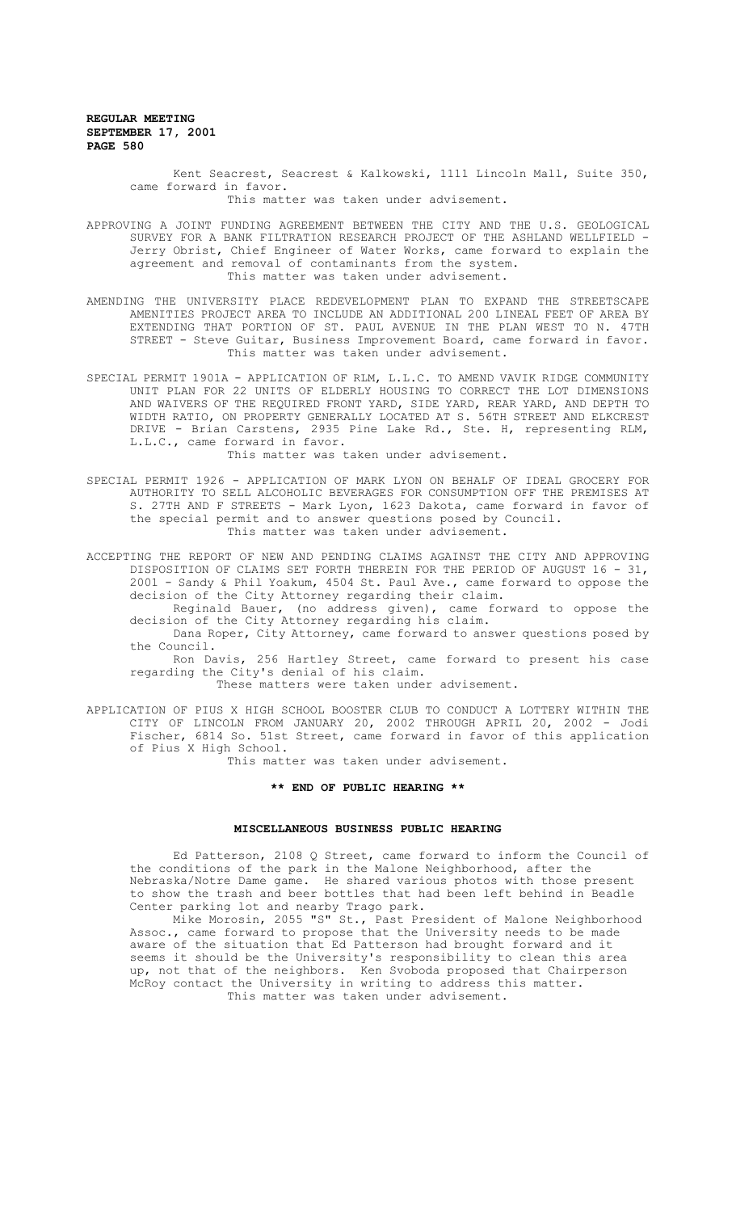> Kent Seacrest, Seacrest & Kalkowski, 1111 Lincoln Mall, Suite 350, came forward in favor. This matter was taken under advisement.

APPROVING A JOINT FUNDING AGREEMENT BETWEEN THE CITY AND THE U.S. GEOLOGICAL SURVEY FOR A BANK FILTRATION RESEARCH PROJECT OF THE ASHLAND WELLFIELD - Jerry Obrist, Chief Engineer of Water Works, came forward to explain the agreement and removal of contaminants from the system. This matter was taken under advisement.

AMENDING THE UNIVERSITY PLACE REDEVELOPMENT PLAN TO EXPAND THE STREETSCAPE AMENITIES PROJECT AREA TO INCLUDE AN ADDITIONAL 200 LINEAL FEET OF AREA BY EXTENDING THAT PORTION OF ST. PAUL AVENUE IN THE PLAN WEST TO N. 47TH STREET - Steve Guitar, Business Improvement Board, came forward in favor. This matter was taken under advisement.

SPECIAL PERMIT 1901A - APPLICATION OF RLM, L.L.C. TO AMEND VAVIK RIDGE COMMUNITY UNIT PLAN FOR 22 UNITS OF ELDERLY HOUSING TO CORRECT THE LOT DIMENSIONS AND WAIVERS OF THE REQUIRED FRONT YARD, SIDE YARD, REAR YARD, AND DEPTH TO WIDTH RATIO, ON PROPERTY GENERALLY LOCATED AT S. 56TH STREET AND ELKCREST DRIVE - Brian Carstens, 2935 Pine Lake Rd., Ste. H, representing RLM, L.L.C., came forward in favor.

This matter was taken under advisement.

SPECIAL PERMIT 1926 - APPLICATION OF MARK LYON ON BEHALF OF IDEAL GROCERY FOR AUTHORITY TO SELL ALCOHOLIC BEVERAGES FOR CONSUMPTION OFF THE PREMISES AT S. 27TH AND F STREETS - Mark Lyon, 1623 Dakota, came forward in favor of the special permit and to answer questions posed by Council. This matter was taken under advisement.

ACCEPTING THE REPORT OF NEW AND PENDING CLAIMS AGAINST THE CITY AND APPROVING DISPOSITION OF CLAIMS SET FORTH THEREIN FOR THE PERIOD OF AUGUST 16 - 31, 2001 - Sandy & Phil Yoakum, 4504 St. Paul Ave., came forward to oppose the decision of the City Attorney regarding their claim.

Reginald Bauer, (no address given), came forward to oppose the decision of the City Attorney regarding his claim.

Dana Roper, City Attorney, came forward to answer questions posed by the Council.

Ron Davis, 256 Hartley Street, came forward to present his case regarding the City's denial of his claim.

These matters were taken under advisement.

APPLICATION OF PIUS X HIGH SCHOOL BOOSTER CLUB TO CONDUCT A LOTTERY WITHIN THE CITY OF LINCOLN FROM JANUARY 20, 2002 THROUGH APRIL 20, 2002 - Jodi Fischer, 6814 So. 51st Street, came forward in favor of this application of Pius X High School.

This matter was taken under advisement.

## **\*\* END OF PUBLIC HEARING \*\***

# **MISCELLANEOUS BUSINESS PUBLIC HEARING**

Ed Patterson, 2108 Q Street, came forward to inform the Council of the conditions of the park in the Malone Neighborhood, after the Nebraska/Notre Dame game. He shared various photos with those present to show the trash and beer bottles that had been left behind in Beadle Center parking lot and nearby Trago park.

Mike Morosin, 2055 "S" St., Past President of Malone Neighborhood Assoc., came forward to propose that the University needs to be made aware of the situation that Ed Patterson had brought forward and it seems it should be the University's responsibility to clean this area up, not that of the neighbors. Ken Svoboda proposed that Chairperson McRoy contact the University in writing to address this matter. This matter was taken under advisement.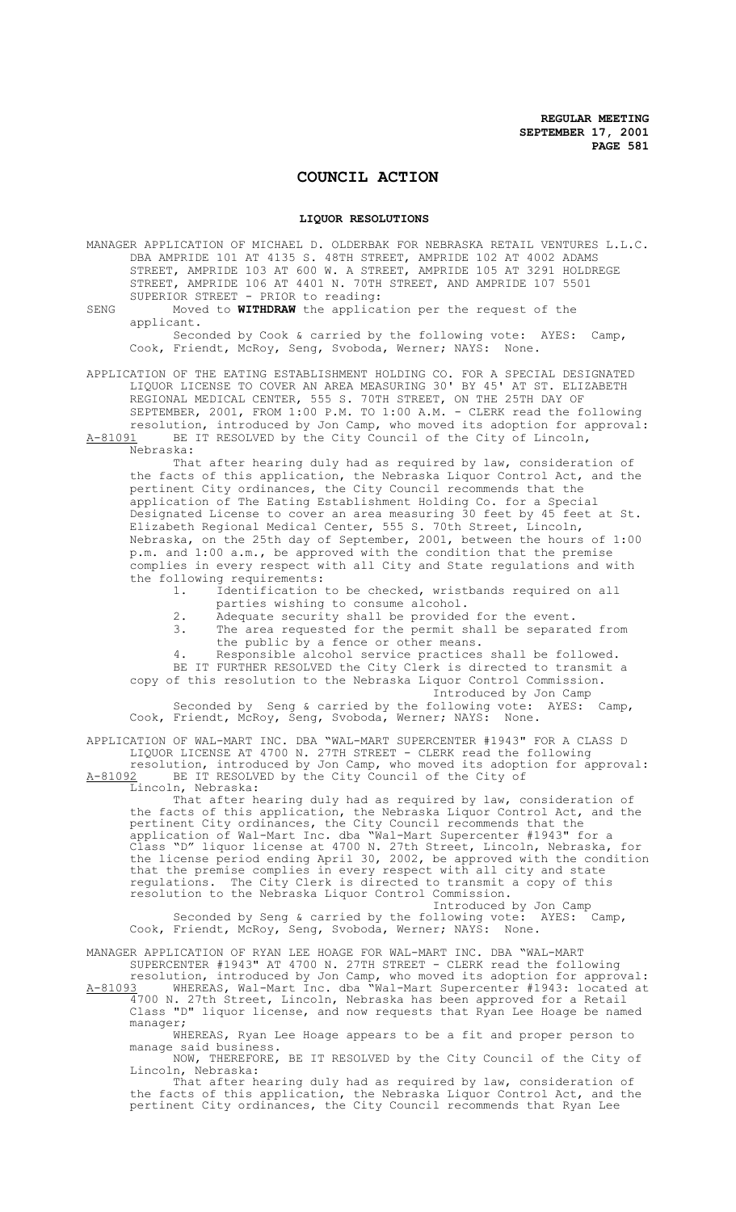# **COUNCIL ACTION**

#### **LIQUOR RESOLUTIONS**

MANAGER APPLICATION OF MICHAEL D. OLDERBAK FOR NEBRASKA RETAIL VENTURES L.L.C. DBA AMPRIDE 101 AT 4135 S. 48TH STREET, AMPRIDE 102 AT 4002 ADAMS STREET, AMPRIDE 103 AT 600 W. A STREET, AMPRIDE 105 AT 3291 HOLDREGE STREET, AMPRIDE 106 AT 4401 N. 70TH STREET, AND AMPRIDE 107 5501 SUPERIOR STREET - PRIOR to reading:

SENG Moved to **WITHDRAW** the application per the request of the applicant.

Seconded by Cook & carried by the following vote: AYES: Camp, Cook, Friendt, McRoy, Seng, Svoboda, Werner; NAYS: None.

APPLICATION OF THE EATING ESTABLISHMENT HOLDING CO. FOR A SPECIAL DESIGNATED LIQUOR LICENSE TO COVER AN AREA MEASURING 30' BY 45' AT ST. ELIZABETH REGIONAL MEDICAL CENTER, 555 S. 70TH STREET, ON THE 25TH DAY OF SEPTEMBER, 2001, FROM 1:00 P.M. TO 1:00 A.M. - CLERK read the following resolution, introduced by Jon Camp, who moved its adoption for approval: A-81091 BE IT RESOLVED by the City Council of the City of Lincoln,

Nebraska:

That after hearing duly had as required by law, consideration of the facts of this application, the Nebraska Liquor Control Act, and the pertinent City ordinances, the City Council recommends that the application of The Eating Establishment Holding Co. for a Special Designated License to cover an area measuring 30 feet by 45 feet at St. Elizabeth Regional Medical Center, 555 S. 70th Street, Lincoln, Nebraska, on the 25th day of September, 2001, between the hours of 1:00 p.m. and 1:00 a.m., be approved with the condition that the premise complies in every respect with all City and State regulations and with the following requirements:<br>1. Identification

Identification to be checked, wristbands required on all parties wishing to consume alcohol.

- 2. Adequate security shall be provided for the event.<br>3. The area requested for the permit shall be separat
- The area requested for the permit shall be separated from the public by a fence or other means.
- Responsible alcohol service practices shall be followed.

BE IT FURTHER RESOLVED the City Clerk is directed to transmit a copy of this resolution to the Nebraska Liquor Control Commission.

Introduced by Jon Camp

Seconded by Seng & carried by the following vote: AYES: Camp, Cook, Friendt, McRoy, Seng, Svoboda, Werner; NAYS: None.

APPLICATION OF WAL-MART INC. DBA "WAL-MART SUPERCENTER #1943" FOR A CLASS D LIQUOR LICENSE AT 4700 N. 27TH STREET - CLERK read the following resolution, introduced by Jon Camp, who moved its adoption for approval: A-81092 BE IT RESOLVED by the City Council of the City of

Lincoln, Nebraska:

That after hearing duly had as required by law, consideration of the facts of this application, the Nebraska Liquor Control Act, and the pertinent City ordinances, the City Council recommends that the application of Wal-Mart Inc. dba "Wal-Mart Supercenter #1943" for a Class "D" liquor license at 4700 N. 27th Street, Lincoln, Nebraska, for the license period ending April 30, 2002, be approved with the condition that the premise complies in every respect with all city and state regulations. The City Clerk is directed to transmit a copy of this resolution to the Nebraska Liquor Control Commission.

Introduced by Jon Camp<br>Illowing vote: AYES: Camp. Seconded by Seng & carried by the following vote: AYES: Camp, Cook, Friendt, McRoy, Seng, Svoboda, Werner; NAYS: None.

MANAGER APPLICATION OF RYAN LEE HOAGE FOR WAL-MART INC. DBA "WAL-MART SUPERCENTER #1943" AT 4700 N. 27TH STREET - CLERK read the following

resolution, introduced by Jon Camp, who moved its adoption for approval: A-81093 WHEREAS, Wal-Mart Inc. dba "Wal-Mart Supercenter #1943: located at 4700 N. 27th Street, Lincoln, Nebraska has been approved for a Retail Class "D" liquor license, and now requests that Ryan Lee Hoage be named manager;

WHEREAS, Ryan Lee Hoage appears to be a fit and proper person to manage said business.

NOW, THEREFORE, BE IT RESOLVED by the City Council of the City of Lincoln, Nebraska:

That after hearing duly had as required by law, consideration of the facts of this application, the Nebraska Liquor Control Act, and the pertinent City ordinances, the City Council recommends that Ryan Lee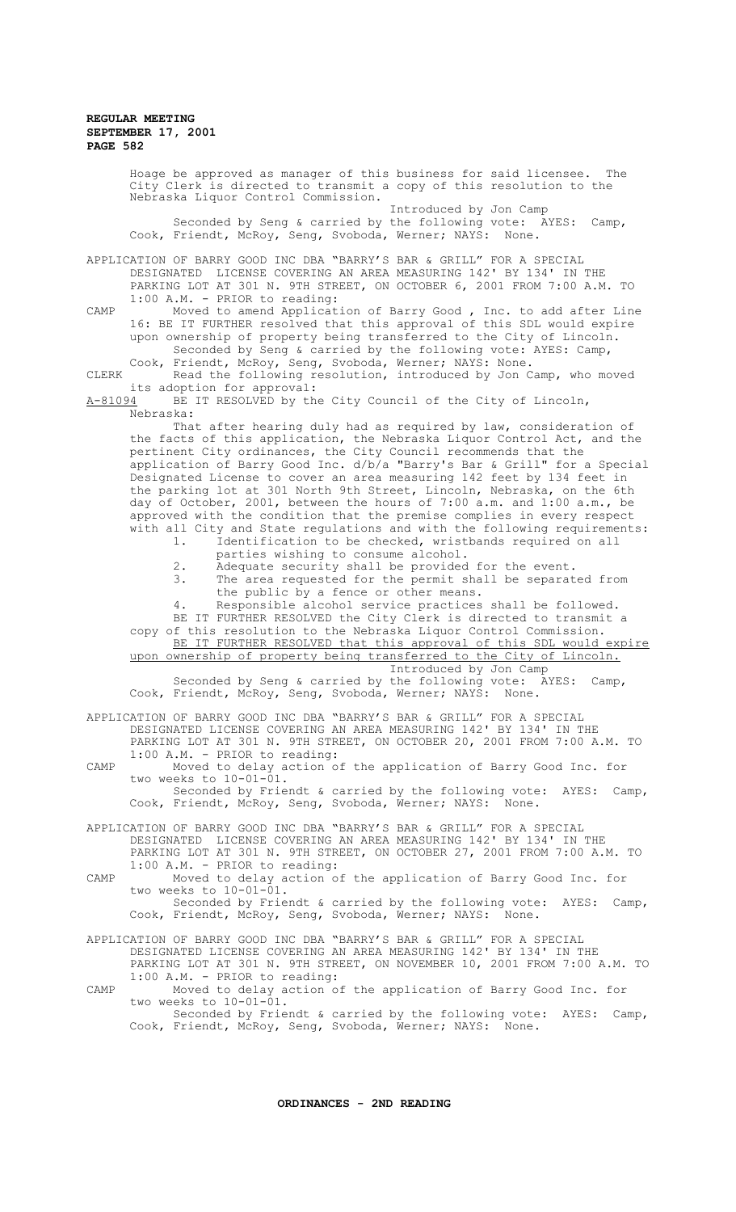Hoage be approved as manager of this business for said licensee. City Clerk is directed to transmit a copy of this resolution to the Nebraska Liquor Control Commission. Introduced by Jon Camp Seconded by Seng & carried by the following vote: AYES: Camp, Cook, Friendt, McRoy, Seng, Svoboda, Werner; NAYS: None. APPLICATION OF BARRY GOOD INC DBA "BARRY'S BAR & GRILL" FOR A SPECIAL DESIGNATED LICENSE COVERING AN AREA MEASURING 142' BY 134' IN THE PARKING LOT AT 301 N. 9TH STREET, ON OCTOBER 6, 2001 FROM 7:00 A.M. TO 1:00 A.M. - PRIOR to reading: CAMP Moved to amend Application of Barry Good , Inc. to add after Line 16: BE IT FURTHER resolved that this approval of this SDL would expire upon ownership of property being transferred to the City of Lincoln. Seconded by Seng & carried by the following vote: AYES: Camp, Cook, Friendt, McRoy, Seng, Svoboda, Werner; NAYS: None. CLERK Read the following resolution, introduced by Jon Camp, who moved its adoption for approval:<br>A-81094 BE IT RESOLVED by th BE IT RESOLVED by the City Council of the City of Lincoln, Nebraska: That after hearing duly had as required by law, consideration of the facts of this application, the Nebraska Liquor Control Act, and the pertinent City ordinances, the City Council recommends that the application of Barry Good Inc. d/b/a "Barry's Bar & Grill" for a Special Designated License to cover an area measuring 142 feet by 134 feet in the parking lot at 301 North 9th Street, Lincoln, Nebraska, on the 6th day of October, 2001, between the hours of 7:00 a.m. and 1:00 a.m., be approved with the condition that the premise complies in every respect with all City and State regulations and with the following requirements:<br>1. Identification to be checked, wristbands required on all Identification to be checked, wristbands required on all parties wishing to consume alcohol. 2. Adequate security shall be provided for the event. 3. The area requested for the permit shall be separated from the public by a fence or other means. 4. Responsible alcohol service practices shall be followed. BE IT FURTHER RESOLVED the City Clerk is directed to transmit a copy of this resolution to the Nebraska Liquor Control Commission. BE IT FURTHER RESOLVED that this approval of this SDL would expire upon ownership of property being transferred to the City of Lincoln. Introduced by Jon Camp Seconded by Seng & carried by the following vote: AYES: Camp, Cook, Friendt, McRoy, Seng, Svoboda, Werner; NAYS: None. APPLICATION OF BARRY GOOD INC DBA "BARRY'S BAR & GRILL" FOR A SPECIAL DESIGNATED LICENSE COVERING AN AREA MEASURING 142' BY 134' IN THE PARKING LOT AT 301 N. 9TH STREET, ON OCTOBER 20, 2001 FROM 7:00 A.M. TO 1:00 A.M. - PRIOR to reading: CAMP Moved to delay action of the application of Barry Good Inc. for two weeks to 10-01-01. Seconded by Friendt & carried by the following vote: AYES: Camp, Cook, Friendt, McRoy, Seng, Svoboda, Werner; NAYS: None. APPLICATION OF BARRY GOOD INC DBA "BARRY'S BAR & GRILL" FOR A SPECIAL DESIGNATED LICENSE COVERING AN AREA MEASURING 142' BY 134' IN THE PARKING LOT AT 301 N. 9TH STREET, ON OCTOBER 27, 2001 FROM 7:00 A.M. TO 1:00 A.M. - PRIOR to reading: CAMP Moved to delay action of the application of Barry Good Inc. for two weeks to 10-01-01. Seconded by Friendt & carried by the following vote: AYES: Camp,<br>Friendt, McRov, Seng, Svoboda, Werner; NAYS: None. Cook, Friendt, McRoy, Seng, Svoboda, Werner; NAYS:

APPLICATION OF BARRY GOOD INC DBA "BARRY'S BAR & GRILL" FOR A SPECIAL DESIGNATED LICENSE COVERING AN AREA MEASURING 142' BY 134' IN THE PARKING LOT AT 301 N. 9TH STREET, ON NOVEMBER 10, 2001 FROM 7:00 A.M. TO 1:00 A.M. - PRIOR to reading: CAMP Moved to delay action of the application of Barry Good Inc. for

two weeks to 10-01-01. Seconded by Friendt & carried by the following vote: AYES: Camp,

Cook, Friendt, McRoy, Seng, Svoboda, Werner; NAYS: None.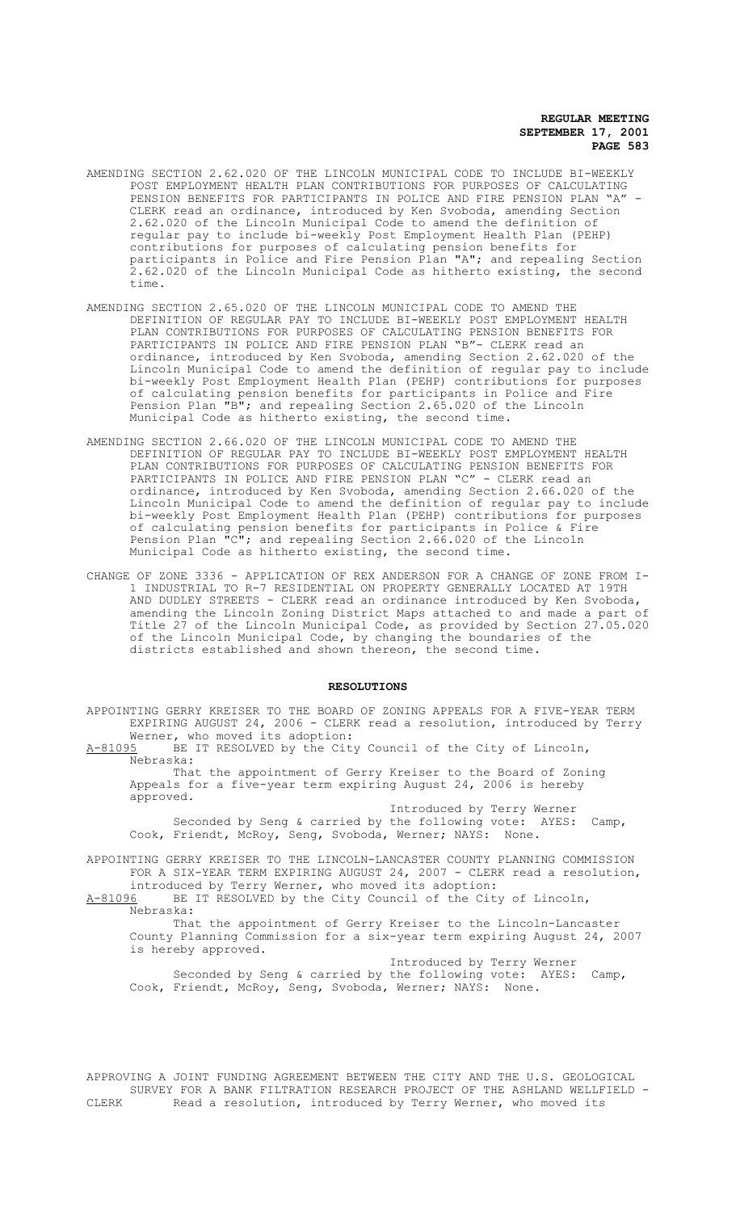- AMENDING SECTION 2.62.020 OF THE LINCOLN MUNICIPAL CODE TO INCLUDE BI-WEEKLY POST EMPLOYMENT HEALTH PLAN CONTRIBUTIONS FOR PURPOSES OF CALCULATING PENSION BENEFITS FOR PARTICIPANTS IN POLICE AND FIRE PENSION PLAN "A" -CLERK read an ordinance, introduced by Ken Svoboda, amending Section 2.62.020 of the Lincoln Municipal Code to amend the definition of regular pay to include bi-weekly Post Employment Health Plan (PEHP) contributions for purposes of calculating pension benefits for participants in Police and Fire Pension Plan "A"; and repealing Section 2.62.020 of the Lincoln Municipal Code as hitherto existing, the second time.
- AMENDING SECTION 2.65.020 OF THE LINCOLN MUNICIPAL CODE TO AMEND THE DEFINITION OF REGULAR PAY TO INCLUDE BI-WEEKLY POST EMPLOYMENT HEALTH PLAN CONTRIBUTIONS FOR PURPOSES OF CALCULATING PENSION BENEFITS FOR PARTICIPANTS IN POLICE AND FIRE PENSION PLAN "B"- CLERK read an ordinance, introduced by Ken Svoboda, amending Section 2.62.020 of the Lincoln Municipal Code to amend the definition of regular pay to include bi-weekly Post Employment Health Plan (PEHP) contributions for purposes of calculating pension benefits for participants in Police and Fire Pension Plan "B"; and repealing Section 2.65.020 of the Lincoln Municipal Code as hitherto existing, the second time.
- AMENDING SECTION 2.66.020 OF THE LINCOLN MUNICIPAL CODE TO AMEND THE DEFINITION OF REGULAR PAY TO INCLUDE BI-WEEKLY POST EMPLOYMENT HEALTH PLAN CONTRIBUTIONS FOR PURPOSES OF CALCULATING PENSION BENEFITS FOR PARTICIPANTS IN POLICE AND FIRE PENSION PLAN "C" - CLERK read an ordinance, introduced by Ken Svoboda, amending Section 2.66.020 of the Lincoln Municipal Code to amend the definition of regular pay to include bi-weekly Post Employment Health Plan (PEHP) contributions for purposes of calculating pension benefits for participants in Police & Fire Pension Plan "C"; and repealing Section 2.66.020 of the Lincoln Municipal Code as hitherto existing, the second time.
- CHANGE OF ZONE 3336 APPLICATION OF REX ANDERSON FOR A CHANGE OF ZONE FROM I-1 INDUSTRIAL TO R-7 RESIDENTIAL ON PROPERTY GENERALLY LOCATED AT 19TH AND DUDLEY STREETS - CLERK read an ordinance introduced by Ken Svoboda, amending the Lincoln Zoning District Maps attached to and made a part of Title 27 of the Lincoln Municipal Code, as provided by Section 27.05.020 of the Lincoln Municipal Code, by changing the boundaries of the districts established and shown thereon, the second time.

#### **RESOLUTIONS**

| APPOINTING GERRY KREISER TO THE BOARD OF ZONING APPEALS FOR A FIVE-YEAR TERM<br>EXPIRING AUGUST 24, 2006 - CLERK read a resolution, introduced by Terry<br>Werner, who moved its adoption:                     |
|----------------------------------------------------------------------------------------------------------------------------------------------------------------------------------------------------------------|
| BE IT RESOLVED by the City Council of the City of Lincoln,<br>A-81095<br>Nebraska:                                                                                                                             |
| That the appointment of Gerry Kreiser to the Board of Zoning<br>Appeals for a five-year term expiring August 24, 2006 is hereby<br>approved.                                                                   |
| Introduced by Terry Werner                                                                                                                                                                                     |
|                                                                                                                                                                                                                |
| Seconded by Seng & carried by the following vote: AYES: Camp,<br>Cook, Friendt, McRoy, Seng, Svoboda, Werner; NAYS: None.                                                                                      |
| APPOINTING GERRY KREISER TO THE LINCOLN-LANCASTER COUNTY PLANNING COMMISSION<br>FOR A SIX-YEAR TERM EXPIRING AUGUST 24, 2007 - CLERK read a resolution,<br>introduced by Terry Werner, who moved its adoption: |
| A-81096 BE IT RESOLVED by the City Council of the City of Lincoln,<br>Nebraska:                                                                                                                                |
|                                                                                                                                                                                                                |
| That the appointment of Gerry Kreiser to the Lincoln-Lancaster<br>County Planning Commission for a six-year term expiring August 24, 2007<br>is hereby approved.                                               |
|                                                                                                                                                                                                                |
| Introduced by Terry Werner                                                                                                                                                                                     |
| Seconded by Seng & carried by the following vote: AYES:<br>$Camp$ ,<br>Cook, Friendt, McRoy, Seng, Svoboda, Werner; NAYS: None.                                                                                |
|                                                                                                                                                                                                                |
|                                                                                                                                                                                                                |

APPROVING A JOINT FUNDING AGREEMENT BETWEEN THE CITY AND THE U.S. GEOLOGICAL SURVEY FOR A BANK FILTRATION RESEARCH PROJECT OF THE ASHLAND WELLFIELD -<br>CLERK Read a resolution, introduced by Terry Werner, who moved its Read a resolution, introduced by Terry Werner, who moved its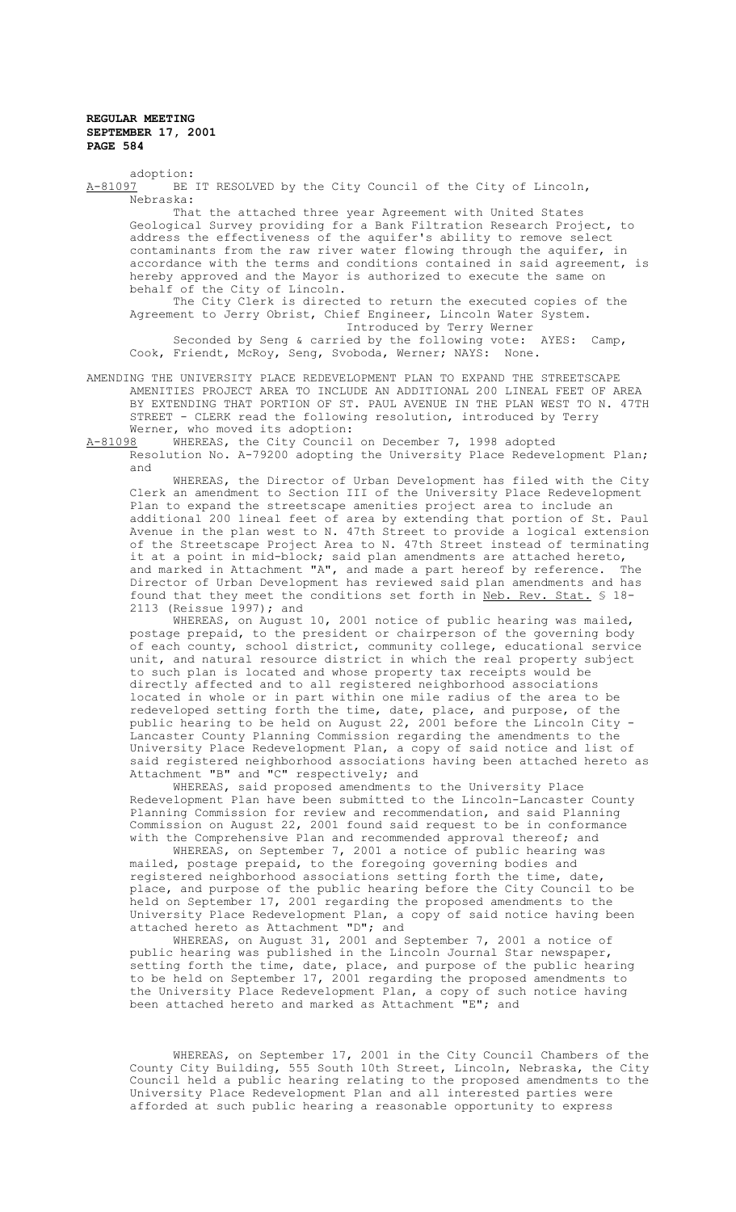adoption:<br>A-81097 BE BE IT RESOLVED by the City Council of the City of Lincoln, Nebraska: That the attached three year Agreement with United States Geological Survey providing for a Bank Filtration Research Project, to address the effectiveness of the aquifer's ability to remove select contaminants from the raw river water flowing through the aquifer, in accordance with the terms and conditions contained in said agreement, is hereby approved and the Mayor is authorized to execute the same on behalf of the City of Lincoln. The City Clerk is directed to return the executed copies of the Agreement to Jerry Obrist, Chief Engineer, Lincoln Water System. Introduced by Terry Werner

Seconded by Seng & carried by the following vote: AYES: Camp, Cook, Friendt, McRoy, Seng, Svoboda, Werner; NAYS: None.

AMENDING THE UNIVERSITY PLACE REDEVELOPMENT PLAN TO EXPAND THE STREETSCAPE AMENITIES PROJECT AREA TO INCLUDE AN ADDITIONAL 200 LINEAL FEET OF AREA BY EXTENDING THAT PORTION OF ST. PAUL AVENUE IN THE PLAN WEST TO N. 47TH STREET - CLERK read the following resolution, introduced by Terry

Werner, who moved its adoption:<br>A-81098 WHEREAS, the City Council WHEREAS, the City Council on December 7, 1998 adopted Resolution No. A-79200 adopting the University Place Redevelopment Plan; and

WHEREAS, the Director of Urban Development has filed with the City Clerk an amendment to Section III of the University Place Redevelopment Plan to expand the streetscape amenities project area to include an additional 200 lineal feet of area by extending that portion of St. Paul Avenue in the plan west to N. 47th Street to provide a logical extension of the Streetscape Project Area to N. 47th Street instead of terminating it at a point in mid-block; said plan amendments are attached hereto, and marked in Attachment "A", and made a part hereof by reference. The Director of Urban Development has reviewed said plan amendments and has found that they meet the conditions set forth in Neb. Rev. Stat. § 18- 2113 (Reissue 1997); and

WHEREAS, on August 10, 2001 notice of public hearing was mailed, postage prepaid, to the president or chairperson of the governing body of each county, school district, community college, educational service unit, and natural resource district in which the real property subject to such plan is located and whose property tax receipts would be directly affected and to all registered neighborhood associations located in whole or in part within one mile radius of the area to be redeveloped setting forth the time, date, place, and purpose, of the public hearing to be held on August 22, 2001 before the Lincoln City - Lancaster County Planning Commission regarding the amendments to the University Place Redevelopment Plan, a copy of said notice and list of said registered neighborhood associations having been attached hereto as Attachment "B" and "C" respectively; and

WHEREAS, said proposed amendments to the University Place Redevelopment Plan have been submitted to the Lincoln-Lancaster County Planning Commission for review and recommendation, and said Planning Commission on August 22, 2001 found said request to be in conformance with the Comprehensive Plan and recommended approval thereof; and

WHEREAS, on September 7, 2001 a notice of public hearing was mailed, postage prepaid, to the foregoing governing bodies and registered neighborhood associations setting forth the time, date, place, and purpose of the public hearing before the City Council to be held on September 17, 2001 regarding the proposed amendments to the University Place Redevelopment Plan, a copy of said notice having been attached hereto as Attachment "D"; and

WHEREAS, on August 31, 2001 and September 7, 2001 a notice of public hearing was published in the Lincoln Journal Star newspaper, setting forth the time, date, place, and purpose of the public hearing to be held on September 17, 2001 regarding the proposed amendments to the University Place Redevelopment Plan, a copy of such notice having been attached hereto and marked as Attachment "E"; and

WHEREAS, on September 17, 2001 in the City Council Chambers of the County City Building, 555 South 10th Street, Lincoln, Nebraska, the City Council held a public hearing relating to the proposed amendments to the University Place Redevelopment Plan and all interested parties were afforded at such public hearing a reasonable opportunity to express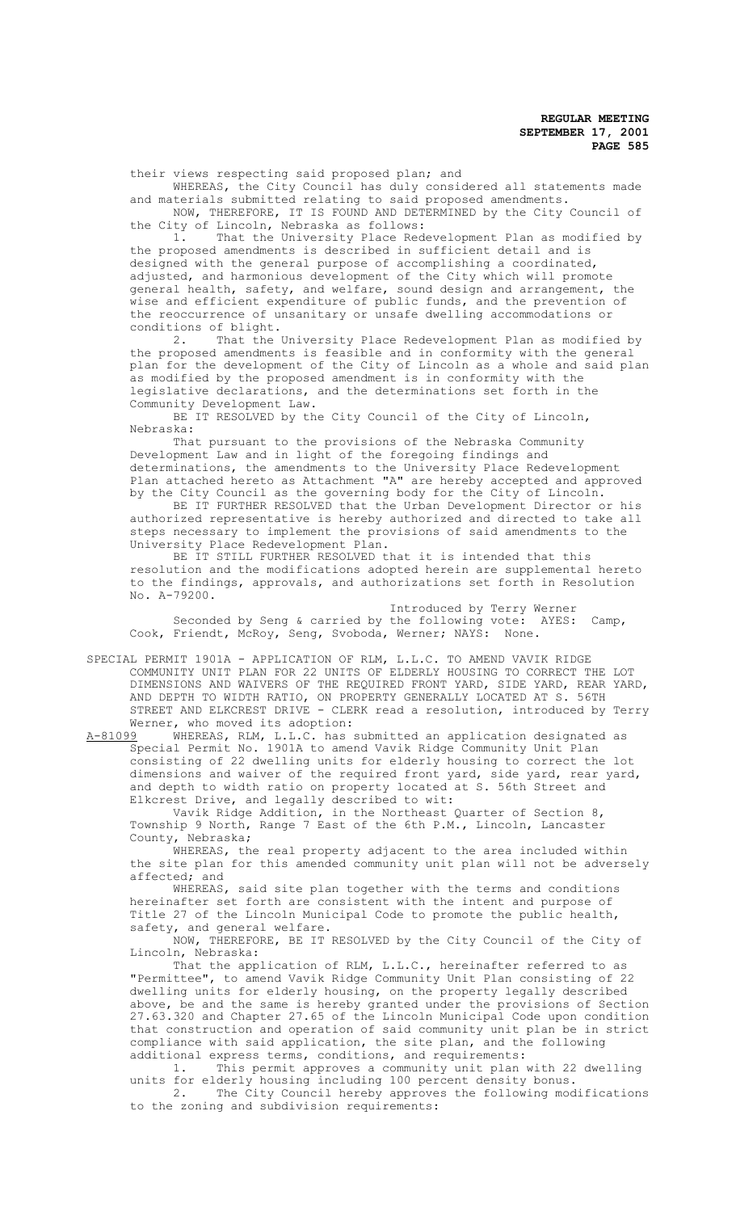their views respecting said proposed plan; and

WHEREAS, the City Council has duly considered all statements made and materials submitted relating to said proposed amendments. NOW, THEREFORE, IT IS FOUND AND DETERMINED by the City Council of

the City of Lincoln, Nebraska as follows:<br>1. That the University Place Red

That the University Place Redevelopment Plan as modified by the proposed amendments is described in sufficient detail and is designed with the general purpose of accomplishing a coordinated, adjusted, and harmonious development of the City which will promote general health, safety, and welfare, sound design and arrangement, the wise and efficient expenditure of public funds, and the prevention of the reoccurrence of unsanitary or unsafe dwelling accommodations or conditions of blight.<br>2. That the

That the University Place Redevelopment Plan as modified by the proposed amendments is feasible and in conformity with the general plan for the development of the City of Lincoln as a whole and said plan as modified by the proposed amendment is in conformity with the legislative declarations, and the determinations set forth in the Community Development Law.

BE IT RESOLVED by the City Council of the City of Lincoln, Nebraska:

That pursuant to the provisions of the Nebraska Community Development Law and in light of the foregoing findings and determinations, the amendments to the University Place Redevelopment Plan attached hereto as Attachment "A" are hereby accepted and approved by the City Council as the governing body for the City of Lincoln.

BE IT FURTHER RESOLVED that the Urban Development Director or his authorized representative is hereby authorized and directed to take all steps necessary to implement the provisions of said amendments to the University Place Redevelopment Plan.

BE IT STILL FURTHER RESOLVED that it is intended that this resolution and the modifications adopted herein are supplemental hereto to the findings, approvals, and authorizations set forth in Resolution No. A-79200.

Introduced by Terry Werner Seconded by Seng & carried by the following vote: AYES: Camp, Cook, Friendt, McRoy, Seng, Svoboda, Werner; NAYS: None.

SPECIAL PERMIT 1901A - APPLICATION OF RLM, L.L.C. TO AMEND VAVIK RIDGE COMMUNITY UNIT PLAN FOR 22 UNITS OF ELDERLY HOUSING TO CORRECT THE LOT DIMENSIONS AND WAIVERS OF THE REQUIRED FRONT YARD, SIDE YARD, REAR YARD, AND DEPTH TO WIDTH RATIO, ON PROPERTY GENERALLY LOCATED AT S. 56TH STREET AND ELKCREST DRIVE - CLERK read a resolution, introduced by Terry Werner, who moved its adoption:<br>A-81099 WHEREAS, RLM, L.L.C. has

A-81099 MHEREAS, RLM, L.L.C. has submitted an application designated as Special Permit No. 1901A to amend Vavik Ridge Community Unit Plan consisting of 22 dwelling units for elderly housing to correct the lot dimensions and waiver of the required front yard, side yard, rear yard, and depth to width ratio on property located at S. 56th Street and Elkcrest Drive, and legally described to wit:

Vavik Ridge Addition, in the Northeast Quarter of Section 8, Township 9 North, Range 7 East of the 6th P.M., Lincoln, Lancaster County, Nebraska;

WHEREAS, the real property adjacent to the area included within the site plan for this amended community unit plan will not be adversely affected; and

WHEREAS, said site plan together with the terms and conditions hereinafter set forth are consistent with the intent and purpose of Title 27 of the Lincoln Municipal Code to promote the public health, safety, and general welfare.

NOW, THEREFORE, BE IT RESOLVED by the City Council of the City of Lincoln, Nebraska:

That the application of RLM, L.L.C., hereinafter referred to as "Permittee", to amend Vavik Ridge Community Unit Plan consisting of 22 dwelling units for elderly housing, on the property legally described above, be and the same is hereby granted under the provisions of Section 27.63.320 and Chapter 27.65 of the Lincoln Municipal Code upon condition that construction and operation of said community unit plan be in strict compliance with said application, the site plan, and the following additional express terms, conditions, and requirements:

1. This permit approves a community unit plan with 22 dwelling units for elderly housing including 100 percent density bonus. 2. The City Council hereby approves the following modifications

to the zoning and subdivision requirements: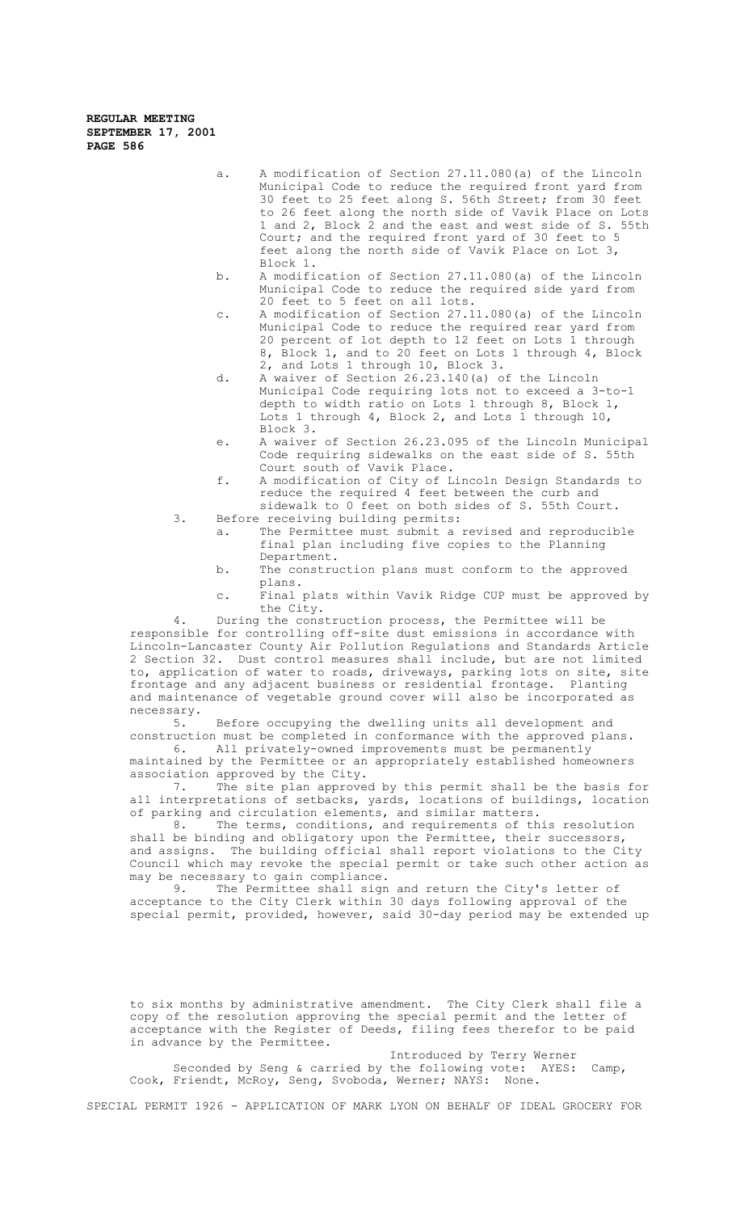- a. A modification of Section 27.11.080(a) of the Lincoln Municipal Code to reduce the required front yard from 30 feet to 25 feet along S. 56th Street; from 30 feet to 26 feet along the north side of Vavik Place on Lots 1 and 2, Block 2 and the east and west side of S. 55th Court; and the required front yard of 30 feet to 5 feet along the north side of Vavik Place on Lot 3, Block 1.
- b. A modification of Section 27.11.080(a) of the Lincoln Municipal Code to reduce the required side yard from 20 feet to 5 feet on all lots.
- c. A modification of Section 27.11.080(a) of the Lincoln Municipal Code to reduce the required rear yard from 20 percent of lot depth to 12 feet on Lots 1 through 8, Block 1, and to 20 feet on Lots 1 through 4, Block 2, and Lots 1 through 10, Block 3.
- d. A waiver of Section 26.23.140(a) of the Lincoln Municipal Code requiring lots not to exceed a 3-to-1 depth to width ratio on Lots 1 through 8, Block 1, Lots 1 through 4, Block 2, and Lots 1 through 10, Block 3.
- e. A waiver of Section 26.23.095 of the Lincoln Municipal Code requiring sidewalks on the east side of S. 55th Court south of Vavik Place.
- f. A modification of City of Lincoln Design Standards to reduce the required 4 feet between the curb and sidewalk to 0 feet on both sides of S. 55th Court.
- 3. Before receiving building permits:
	- a. The Permittee must submit a revised and reproducible final plan including five copies to the Planning Department.
	- b. The construction plans must conform to the approved plans.
	- c. Final plats within Vavik Ridge CUP must be approved by the City.

4. During the construction process, the Permittee will be responsible for controlling off-site dust emissions in accordance with Lincoln-Lancaster County Air Pollution Regulations and Standards Article 2 Section 32. Dust control measures shall include, but are not limited to, application of water to roads, driveways, parking lots on site, site frontage and any adjacent business or residential frontage. Planting and maintenance of vegetable ground cover will also be incorporated as necessary.<br>5.

Before occupying the dwelling units all development and construction must be completed in conformance with the approved plans. 6. All privately-owned improvements must be permanently

maintained by the Permittee or an appropriately established homeowners association approved by the City.

7. The site plan approved by this permit shall be the basis for all interpretations of setbacks, yards, locations of buildings, location of parking and circulation elements, and similar matters.

8. The terms, conditions, and requirements of this resolution shall be binding and obligatory upon the Permittee, their successors, and assigns. The building official shall report violations to the City Council which may revoke the special permit or take such other action as may be necessary to gain compliance.<br>9. The Permittee shall sign

The Permittee shall sign and return the City's letter of acceptance to the City Clerk within 30 days following approval of the special permit, provided, however, said 30-day period may be extended up

to six months by administrative amendment. The City Clerk shall file a copy of the resolution approving the special permit and the letter of acceptance with the Register of Deeds, filing fees therefor to be paid in advance by the Permittee.

Introduced by Terry Werner Seconded by Seng & carried by the following vote: AYES: Camp, Cook, Friendt, McRoy, Seng, Svoboda, Werner; NAYS: None.

SPECIAL PERMIT 1926 - APPLICATION OF MARK LYON ON BEHALF OF IDEAL GROCERY FOR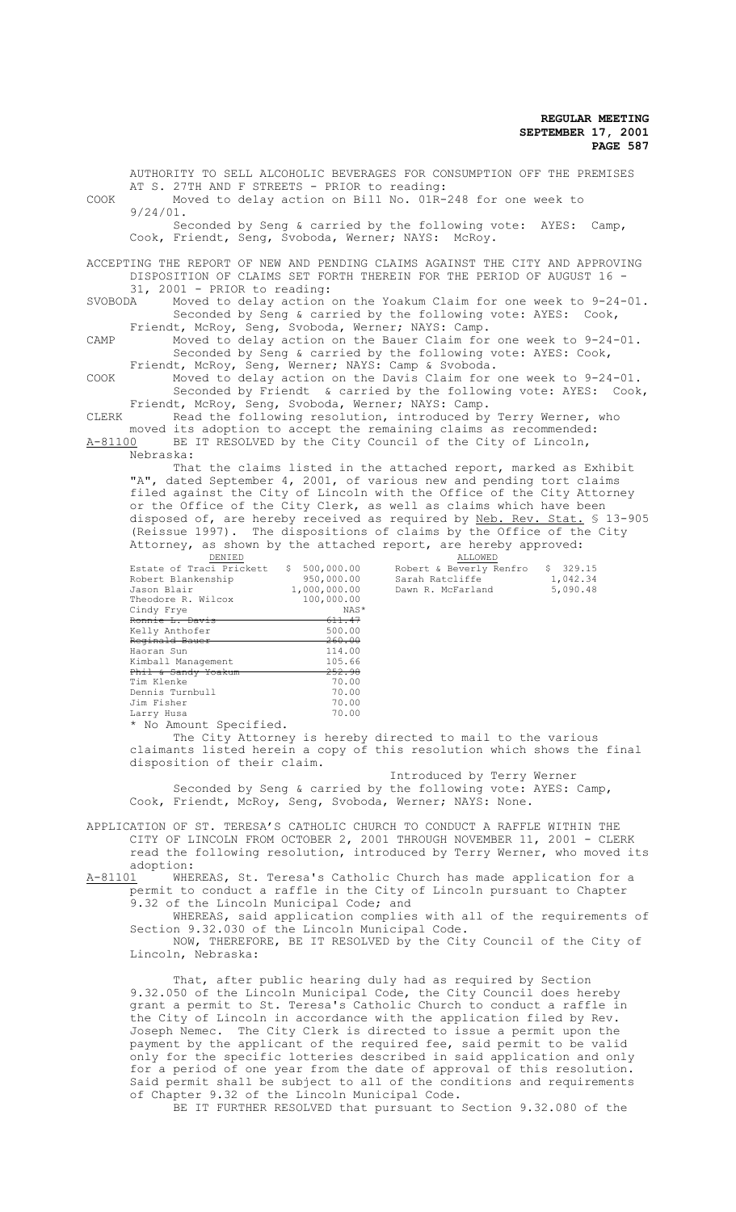AUTHORITY TO SELL ALCOHOLIC BEVERAGES FOR CONSUMPTION OFF THE PREMISES AT S. 27TH AND F STREETS - PRIOR to reading: COOK Moved to delay action on Bill No. 01R-248 for one week to 9/24/01. Seconded by Seng & carried by the following vote: AYES: Camp, Cook, Friendt, Seng, Svoboda, Werner; NAYS: McRoy. ACCEPTING THE REPORT OF NEW AND PENDING CLAIMS AGAINST THE CITY AND APPROVING DISPOSITION OF CLAIMS SET FORTH THEREIN FOR THE PERIOD OF AUGUST 16 - 31, 2001 - PRIOR to reading: SVOBODA Moved to delay action on the Yoakum Claim for one week to 9-24-01. Seconded by Seng & carried by the following vote: AYES: Cook, Friendt, McRoy, Seng, Svoboda, Werner; NAYS: Camp. CAMP Moved to delay action on the Bauer Claim for one week to 9-24-01. Seconded by Seng & carried by the following vote: AYES: Cook, Friendt, McRoy, Seng, Werner; NAYS: Camp & Svoboda. COOK Moved to delay action on the Davis Claim for one week to 9-24-01. Seconded by Friendt & carried by the following vote: AYES: Cook, Friendt, McRoy, Seng, Svoboda, Werner; NAYS: Camp.<br>CLERK Read the following resolution, introduced by Read the following resolution, introduced by Terry Werner, who moved its adoption to accept the remaining claims as recommended: A-81100 BE IT RESOLVED by the City Council of the City of Lincoln, Nebraska: That the claims listed in the attached report, marked as Exhibit "A", dated September 4, 2001, of various new and pending tort claims filed against the City of Lincoln with the Office of the City Attorney or the Office of the City Clerk, as well as claims which have been

disposed of, are hereby received as required by Neb. Rev. Stat. \$ 13-905 (Reissue 1997). The dispositions of claims by the Office of the City Attorney, as shown by the attached report, are hereby approved: **ALLOWED** 

| DEMIED                                                                           |                   | ALLOWED                 |          |  |
|----------------------------------------------------------------------------------|-------------------|-------------------------|----------|--|
| Estate of Traci Prickett                                                         | \$500,000.00      | Robert & Beverly Renfro | \$329.15 |  |
| Robert Blankenship                                                               | 950,000.00        | Sarah Ratcliffe         | 1,042.34 |  |
| Jason Blair                                                                      | 1,000,000.00      | Dawn R. McFarland       | 5,090.48 |  |
| Theodore R. Wilcox                                                               | 100,000.00        |                         |          |  |
| Cindy Frye                                                                       | NAS*              |                         |          |  |
| Ronnie L. Davis                                                                  | 611.47            |                         |          |  |
| Kelly Anthofer                                                                   | 500.00            |                         |          |  |
| Reginald Bauer                                                                   | <del>260.00</del> |                         |          |  |
| Haoran Sun                                                                       | 114.00            |                         |          |  |
| Kimball Management                                                               | 105.66            |                         |          |  |
| Phil & Sandy Yoakum                                                              | <del>252.98</del> |                         |          |  |
| Tim Klenke                                                                       | 70.00             |                         |          |  |
| Dennis Turnbull                                                                  | 70.00             |                         |          |  |
| Jim Fisher                                                                       | 70.00             |                         |          |  |
| Larry Husa                                                                       | 70.00             |                         |          |  |
| $\pm$ N <sub>1</sub> $\lambda$ movem <sup>1</sup> Cross <sup>1</sup> $\pm$ 2 sal |                   |                         |          |  |

\* No Amount Specified.

The City Attorney is hereby directed to mail to the various claimants listed herein a copy of this resolution which shows the final disposition of their claim.

 Introduced by Terry Werner Seconded by Seng & carried by the following vote: AYES: Camp, Cook, Friendt, McRoy, Seng, Svoboda, Werner; NAYS: None.

APPLICATION OF ST. TERESA'S CATHOLIC CHURCH TO CONDUCT A RAFFLE WITHIN THE CITY OF LINCOLN FROM OCTOBER 2, 2001 THROUGH NOVEMBER 11, 2001 - CLERK read the following resolution, introduced by Terry Werner, who moved its  $\begin{matrix}\n \text{adoption:} \\
\text{A-81101} \text{WHE}\n \end{matrix}$ 

WHEREAS, St. Teresa's Catholic Church has made application for a permit to conduct a raffle in the City of Lincoln pursuant to Chapter 9.32 of the Lincoln Municipal Code; and

WHEREAS, said application complies with all of the requirements of Section 9.32.030 of the Lincoln Municipal Code.

NOW, THEREFORE, BE IT RESOLVED by the City Council of the City of Lincoln, Nebraska:

That, after public hearing duly had as required by Section 9.32.050 of the Lincoln Municipal Code, the City Council does hereby grant a permit to St. Teresa's Catholic Church to conduct a raffle in the City of Lincoln in accordance with the application filed by Rev. Joseph Nemec. The City Clerk is directed to issue a permit upon the payment by the applicant of the required fee, said permit to be valid only for the specific lotteries described in said application and only for a period of one year from the date of approval of this resolution. Said permit shall be subject to all of the conditions and requirements of Chapter 9.32 of the Lincoln Municipal Code.

BE IT FURTHER RESOLVED that pursuant to Section 9.32.080 of the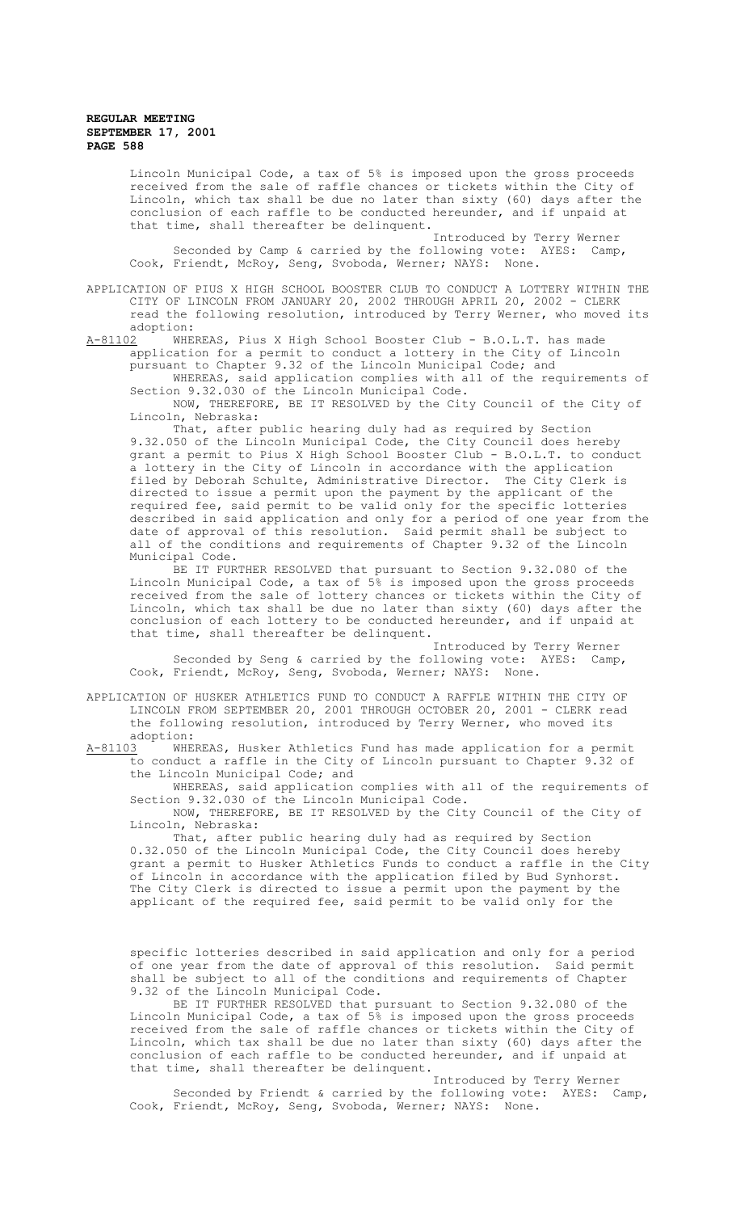Lincoln Municipal Code, a tax of 5% is imposed upon the gross proceeds received from the sale of raffle chances or tickets within the City of Lincoln, which tax shall be due no later than sixty (60) days after the conclusion of each raffle to be conducted hereunder, and if unpaid at that time, shall thereafter be delinquent.

Introduced by Terry Werner Seconded by Camp & carried by the following vote: AYES: Camp, Cook, Friendt, McRoy, Seng, Svoboda, Werner; NAYS: None.

APPLICATION OF PIUS X HIGH SCHOOL BOOSTER CLUB TO CONDUCT A LOTTERY WITHIN THE CITY OF LINCOLN FROM JANUARY 20, 2002 THROUGH APRIL 20, 2002 - CLERK read the following resolution, introduced by Terry Werner, who moved its adoption:<br>A-81102 WHE

WHEREAS, Pius X High School Booster Club - B.O.L.T. has made application for a permit to conduct a lottery in the City of Lincoln pursuant to Chapter 9.32 of the Lincoln Municipal Code; and

WHEREAS, said application complies with all of the requirements of Section 9.32.030 of the Lincoln Municipal Code.

NOW, THEREFORE, BE IT RESOLVED by the City Council of the City of Lincoln, Nebraska:

That, after public hearing duly had as required by Section 9.32.050 of the Lincoln Municipal Code, the City Council does hereby grant a permit to Pius X High School Booster Club - B.O.L.T. to conduct a lottery in the City of Lincoln in accordance with the application filed by Deborah Schulte, Administrative Director. The City Clerk is directed to issue a permit upon the payment by the applicant of the required fee, said permit to be valid only for the specific lotteries described in said application and only for a period of one year from the date of approval of this resolution. Said permit shall be subject to all of the conditions and requirements of Chapter 9.32 of the Lincoln Municipal Code.

BE IT FURTHER RESOLVED that pursuant to Section 9.32.080 of the Lincoln Municipal Code, a tax of 5% is imposed upon the gross proceeds received from the sale of lottery chances or tickets within the City of Lincoln, which tax shall be due no later than sixty (60) days after the conclusion of each lottery to be conducted hereunder, and if unpaid at that time, shall thereafter be delinquent.

Introduced by Terry Werner Seconded by Seng & carried by the following vote: AYES: Camp, Cook, Friendt, McRoy, Seng, Svoboda, Werner; NAYS: None.

APPLICATION OF HUSKER ATHLETICS FUND TO CONDUCT A RAFFLE WITHIN THE CITY OF LINCOLN FROM SEPTEMBER 20, 2001 THROUGH OCTOBER 20, 2001 - CLERK read the following resolution, introduced by Terry Werner, who moved its adoption:<br><u>A-81103</u> WHE

WHEREAS, Husker Athletics Fund has made application for a permit to conduct a raffle in the City of Lincoln pursuant to Chapter 9.32 of the Lincoln Municipal Code; and

WHEREAS, said application complies with all of the requirements of Section 9.32.030 of the Lincoln Municipal Code.

NOW, THEREFORE, BE IT RESOLVED by the City Council of the City of Lincoln, Nebraska:

That, after public hearing duly had as required by Section 0.32.050 of the Lincoln Municipal Code, the City Council does hereby grant a permit to Husker Athletics Funds to conduct a raffle in the City of Lincoln in accordance with the application filed by Bud Synhorst. The City Clerk is directed to issue a permit upon the payment by the applicant of the required fee, said permit to be valid only for the

specific lotteries described in said application and only for a period of one year from the date of approval of this resolution. Said permit shall be subject to all of the conditions and requirements of Chapter 9.32 of the Lincoln Municipal Code.

BE IT FURTHER RESOLVED that pursuant to Section 9.32.080 of the Lincoln Municipal Code, a tax of 5% is imposed upon the gross proceeds received from the sale of raffle chances or tickets within the City of Lincoln, which tax shall be due no later than sixty (60) days after the conclusion of each raffle to be conducted hereunder, and if unpaid at that time, shall thereafter be delinquent.

Introduced by Terry Werner Seconded by Friendt & carried by the following vote: AYES: Camp, Cook, Friendt, McRoy, Seng, Svoboda, Werner; NAYS: None.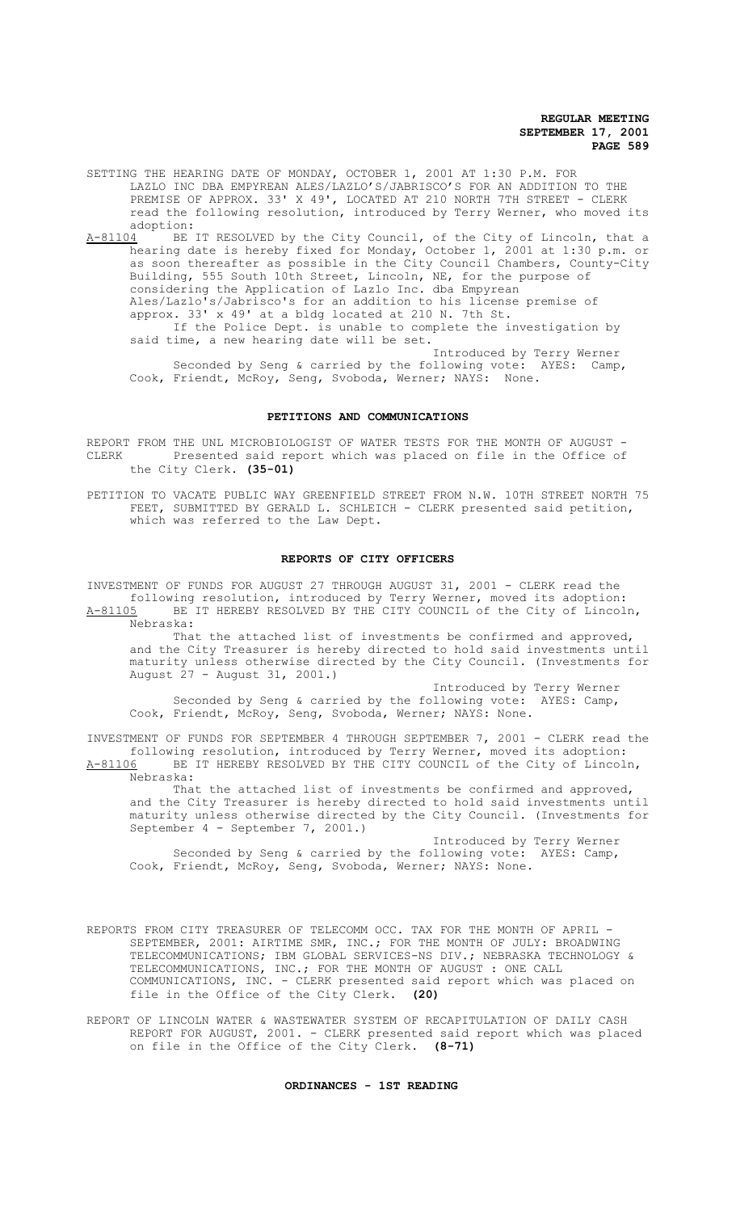SETTING THE HEARING DATE OF MONDAY, OCTOBER 1, 2001 AT 1:30 P.M. FOR LAZLO INC DBA EMPYREAN ALES/LAZLO'S/JABRISCO'S FOR AN ADDITION TO THE PREMISE OF APPROX. 33' X 49', LOCATED AT 210 NORTH 7TH STREET - CLERK read the following resolution, introduced by Terry Werner, who moved its adoption:<br>A-81104 BE

A-81104 BE IT RESOLVED by the City Council, of the City of Lincoln, that a hearing date is hereby fixed for Monday, October 1, 2001 at 1:30 p.m. or as soon thereafter as possible in the City Council Chambers, County-City Building, 555 South 10th Street, Lincoln, NE, for the purpose of considering the Application of Lazlo Inc. dba Empyrean Ales/Lazlo's/Jabrisco's for an addition to his license premise of approx. 33' x 49' at a bldg located at 210 N. 7th St. If the Police Dept. is unable to complete the investigation by said time, a new hearing date will be set. Introduced by Terry Werner

Seconded by Seng & carried by the following vote: AYES: Camp, Cook, Friendt, McRoy, Seng, Svoboda, Werner; NAYS: None.

# **PETITIONS AND COMMUNICATIONS**

REPORT FROM THE UNL MICROBIOLOGIST OF WATER TESTS FOR THE MONTH OF AUGUST -CLERK Presented said report which was placed on file in the Office of the City Clerk. **(35-01)**

PETITION TO VACATE PUBLIC WAY GREENFIELD STREET FROM N.W. 10TH STREET NORTH 75 FEET, SUBMITTED BY GERALD L. SCHLEICH - CLERK presented said petition, which was referred to the Law Dept.

### **REPORTS OF CITY OFFICERS**

INVESTMENT OF FUNDS FOR AUGUST 27 THROUGH AUGUST 31, 2001 - CLERK read the following resolution, introduced by Terry Werner, moved its adoption: A-81105 BE IT HEREBY RESOLVED BY THE CITY COUNCIL of the City of Lincoln, Nebraska:

That the attached list of investments be confirmed and approved, and the City Treasurer is hereby directed to hold said investments until maturity unless otherwise directed by the City Council. (Investments for August 27 - August 31, 2001.)

Introduced by Terry Werner Seconded by Seng & carried by the following vote: AYES: Camp, Cook, Friendt, McRoy, Seng, Svoboda, Werner; NAYS: None.

INVESTMENT OF FUNDS FOR SEPTEMBER 4 THROUGH SEPTEMBER 7, 2001 - CLERK read the following resolution, introduced by Terry Werner, moved its adoption: A-81106 BE IT HEREBY RESOLVED BY THE CITY COUNCIL of the City of Lincoln, Nebraska:

That the attached list of investments be confirmed and approved, and the City Treasurer is hereby directed to hold said investments until maturity unless otherwise directed by the City Council. (Investments for September 4 - September 7, 2001.)

Introduced by Terry Werner Seconded by Seng & carried by the following vote: AYES: Camp, Cook, Friendt, McRoy, Seng, Svoboda, Werner; NAYS: None.

REPORTS FROM CITY TREASURER OF TELECOMM OCC. TAX FOR THE MONTH OF APRIL -SEPTEMBER, 2001: AIRTIME SMR, INC.; FOR THE MONTH OF JULY: BROADWING TELECOMMUNICATIONS; IBM GLOBAL SERVICES-NS DIV.; NEBRASKA TECHNOLOGY & TELECOMMUNICATIONS, INC.; FOR THE MONTH OF AUGUST : ONE CALL COMMUNICATIONS, INC. - CLERK presented said report which was placed on file in the Office of the City Clerk. **(20)**

REPORT OF LINCOLN WATER & WASTEWATER SYSTEM OF RECAPITULATION OF DAILY CASH REPORT FOR AUGUST, 2001. - CLERK presented said report which was placed on file in the Office of the City Clerk. **(8-71)**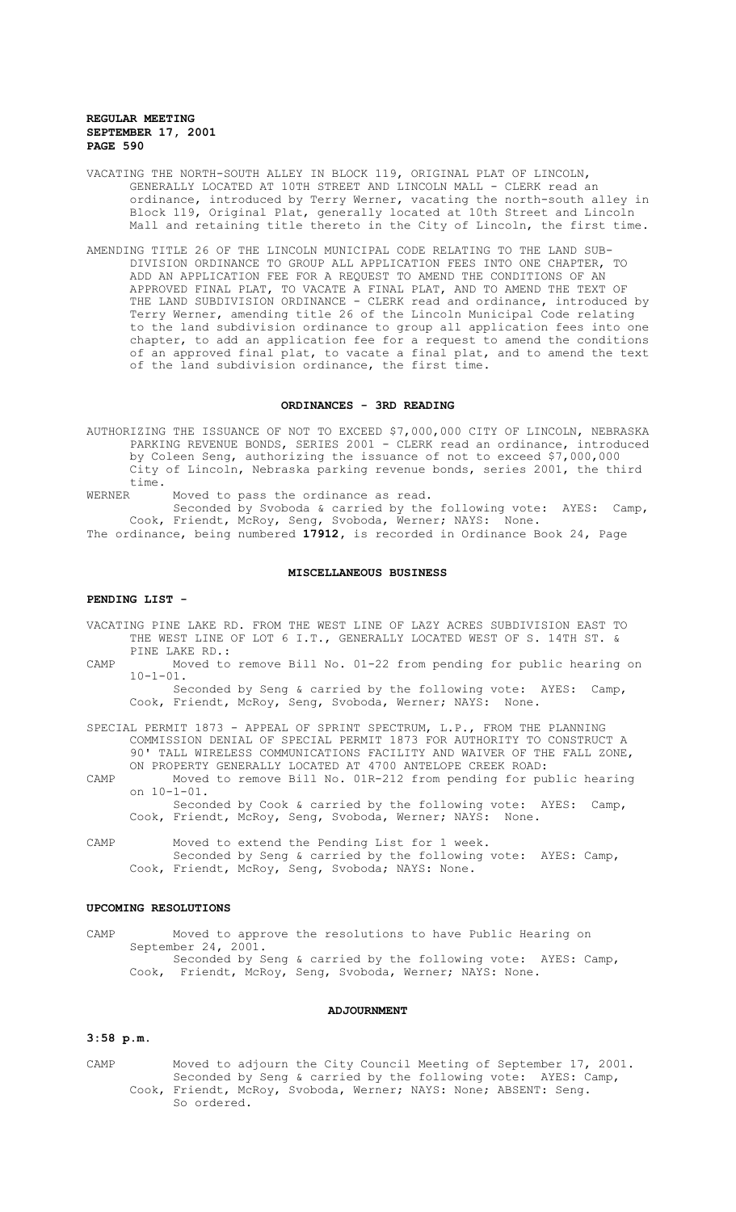- VACATING THE NORTH-SOUTH ALLEY IN BLOCK 119, ORIGINAL PLAT OF LINCOLN, GENERALLY LOCATED AT 10TH STREET AND LINCOLN MALL - CLERK read an ordinance, introduced by Terry Werner, vacating the north-south alley in Block 119, Original Plat, generally located at 10th Street and Lincoln Mall and retaining title thereto in the City of Lincoln, the first time.
- AMENDING TITLE 26 OF THE LINCOLN MUNICIPAL CODE RELATING TO THE LAND SUB-DIVISION ORDINANCE TO GROUP ALL APPLICATION FEES INTO ONE CHAPTER, TO ADD AN APPLICATION FEE FOR A REQUEST TO AMEND THE CONDITIONS OF AN APPROVED FINAL PLAT, TO VACATE A FINAL PLAT, AND TO AMEND THE TEXT OF THE LAND SUBDIVISION ORDINANCE - CLERK read and ordinance, introduced by Terry Werner, amending title 26 of the Lincoln Municipal Code relating to the land subdivision ordinance to group all application fees into one chapter, to add an application fee for a request to amend the conditions of an approved final plat, to vacate a final plat, and to amend the text of the land subdivision ordinance, the first time.

# **ORDINANCES - 3RD READING**

AUTHORIZING THE ISSUANCE OF NOT TO EXCEED \$7,000,000 CITY OF LINCOLN, NEBRASKA PARKING REVENUE BONDS, SERIES 2001 - CLERK read an ordinance, introduced by Coleen Seng, authorizing the issuance of not to exceed \$7,000,000 City of Lincoln, Nebraska parking revenue bonds, series 2001, the third time.<br>WERNER

Moved to pass the ordinance as read.

Seconded by Svoboda & carried by the following vote: AYES: Camp, Cook, Friendt, McRoy, Seng, Svoboda, Werner; NAYS: None. The ordinance, being numbered **17912,** is recorded in Ordinance Book 24, Page

### **MISCELLANEOUS BUSINESS**

### **PENDING LIST -**

- VACATING PINE LAKE RD. FROM THE WEST LINE OF LAZY ACRES SUBDIVISION EAST TO THE WEST LINE OF LOT 6 I.T., GENERALLY LOCATED WEST OF S. 14TH ST. & PINE LAKE RD.:
- CAMP Moved to remove Bill No. 01-22 from pending for public hearing on  $10 - 1 - 01$

Seconded by Seng & carried by the following vote: AYES: Camp, Cook, Friendt, McRoy, Seng, Svoboda, Werner; NAYS: None.

SPECIAL PERMIT 1873 - APPEAL OF SPRINT SPECTRUM, L.P., FROM THE PLANNING COMMISSION DENIAL OF SPECIAL PERMIT 1873 FOR AUTHORITY TO CONSTRUCT A 90' TALL WIRELESS COMMUNICATIONS FACILITY AND WAIVER OF THE FALL ZONE, ON PROPERTY GENERALLY LOCATED AT 4700 ANTELOPE CREEK ROAD:

CAMP Moved to remove Bill No. 01R-212 from pending for public hearing on 10-1-01.

Seconded by Cook & carried by the following vote: AYES: Camp, Cook, Friendt, McRoy, Seng, Svoboda, Werner; NAYS: None.

CAMP Moved to extend the Pending List for 1 week. Seconded by Seng & carried by the following vote: AYES: Camp, Cook, Friendt, McRoy, Seng, Svoboda; NAYS: None.

### **UPCOMING RESOLUTIONS**

CAMP Moved to approve the resolutions to have Public Hearing on September 24, 2001. Seconded by Seng & carried by the following vote: AYES: Camp, Cook, Friendt, McRoy, Seng, Svoboda, Werner; NAYS: None.

## **ADJOURNMENT**

## **3:58 p.m.**

CAMP Moved to adjourn the City Council Meeting of September 17, 2001. Seconded by Seng & carried by the following vote: AYES: Camp, Cook, Friendt, McRoy, Svoboda, Werner; NAYS: None; ABSENT: Seng. So ordered.